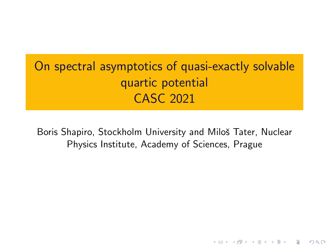# On spectral asymptotics of quasi-exactly solvable quartic potential CASC 2021

Boris Shapiro, Stockholm University and Miloš Tater, Nuclear Physics Institute, Academy of Sciences, Prague

**KED KARD KED KED E YORA**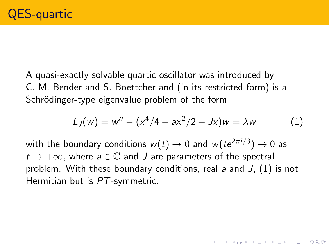A quasi-exactly solvable quartic oscillator was introduced by C. M. Bender and S. Boettcher and (in its restricted form) is a Schrödinger-type eigenvalue problem of the form

<span id="page-1-0"></span>
$$
L_J(w) = w'' - (x^4/4 - ax^2/2 - Jx)w = \lambda w \qquad (1)
$$

 $4 \Box + 4 \Box + 4 \Xi + 4 \Xi + 4 \Xi$ 

with the boundary conditions  $w(t)\to 0$  and  $w(te^{2\pi i/3})\to 0$  as  $t \to +\infty$ , where  $a \in \mathbb{C}$  and J are parameters of the spectral problem. With these boundary conditions, real  $a$  and  $J$ , [\(1\)](#page-1-0) is not Hermitian but is PT-symmetric.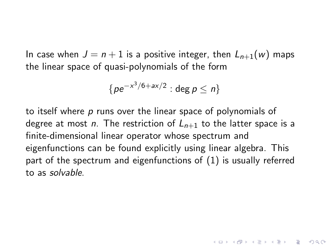In case when  $J = n + 1$  is a positive integer, then  $L_{n+1}(w)$  maps the linear space of quasi-polynomials of the form

$$
\{pe^{-x^3/6+ax/2}: \deg p\leq n\}
$$

to itself where p runs over the linear space of polynomials of degree at most n. The restriction of  $L_{n+1}$  to the latter space is a finite-dimensional linear operator whose spectrum and eigenfunctions can be found explicitly using linear algebra. This part of the spectrum and eigenfunctions of [\(1\)](#page-1-0) is usually referred to as solvable.

**KORKAR KERKER SAGA**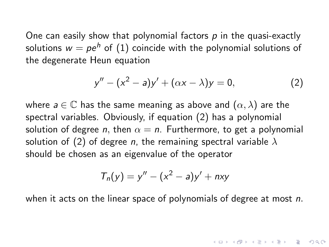One can easily show that polynomial factors  $p$  in the quasi-exactly solutions  $w = pe^h$  of [\(1\)](#page-1-0) coincide with the polynomial solutions of the degenerate Heun equation

<span id="page-3-0"></span>
$$
y'' - (x2 - a)y' + (\alpha x - \lambda)y = 0,
$$
 (2)

 $4 \Box + 4 \Box + 4 \Xi + 4 \Xi + 4 \Xi$ 

where  $a \in \mathbb{C}$  has the same meaning as above and  $(\alpha, \lambda)$  are the spectral variables. Obviously, if equation [\(2\)](#page-3-0) has a polynomial solution of degree *n*, then  $\alpha = n$ . Furthermore, to get a polynomial solution of [\(2\)](#page-3-0) of degree *n*, the remaining spectral variable  $\lambda$ should be chosen as an eigenvalue of the operator

$$
T_n(y) = y'' - (x^2 - a)y' + nxy
$$

when it acts on the linear space of polynomials of degree at most n.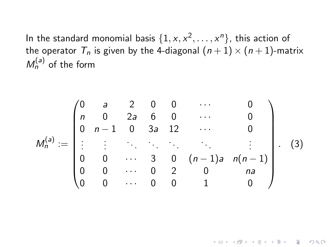In the standard monomial basis  $\{1, x, x^2, \ldots, x^n\}$ , this action of the operator  $T_n$  is given by the 4-diagonal  $(n + 1) \times (n + 1)$ -matrix  $M_n^{(a)}$  of the form

$$
M_n^{(a)} := \begin{pmatrix} 0 & a & 2 & 0 & 0 & \cdots & 0 \\ n & 0 & 2a & 6 & 0 & \cdots & 0 \\ 0 & n-1 & 0 & 3a & 12 & \cdots & 0 \\ \vdots & \vdots & \ddots & \ddots & \ddots & \ddots & \vdots \\ 0 & 0 & \cdots & 3 & 0 & (n-1)a & n(n-1) \\ 0 & 0 & \cdots & 0 & 2 & 0 & na \\ 0 & 0 & \cdots & 0 & 0 & 1 & 0 \end{pmatrix}.
$$
 (3)

K ロ ▶ K @ ▶ K 할 ▶ K 할 ▶ | 할 | © 9 Q @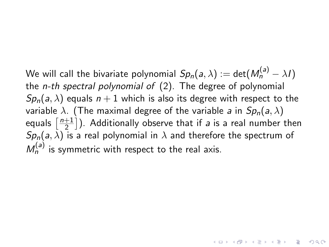We will call the bivariate polynomial  $\mathcal{S}p_{n}(a,\lambda):=\det(M_{n}^{(a)}-\lambda I)$ the n-th spectral polynomial of [\(2\)](#page-3-0). The degree of polynomial  $Sp_n(a, \lambda)$  equals  $n + 1$  which is also its degree with respect to the variable  $\lambda$ . (The maximal degree of the variable a in  $Sp_n(a, \lambda)$ ) equals  $\left\lceil \frac{n+1}{2} \right\rceil$  $\left(\frac{+1}{2}\right)$ ). Additionally observe that if *a* is a real number then  $Sp_n(a, \lambda)$  is a real polynomial in  $\lambda$  and therefore the spectrum of  $M_n^{(a)}$  is symmetric with respect to the real axis.

**KORKAR KERKER SAGA**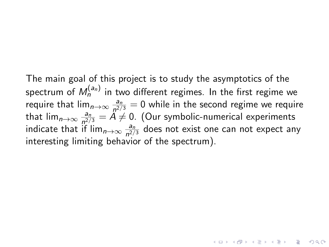The main goal of this project is to study the asymptotics of the spectrum of  $M_n^{(a_n)}$  in two different regimes. In the first regime we require that  $\lim_{n\to\infty}\frac{a_n}{n^{2/3}}=0$  while in the second regime we require that  $\lim_{n\to\infty} \frac{a_n}{n^{2/3}} = A$  $\frac{a_n}{n^{2/3}} = A \neq 0$ . (Our symbolic-numerical experiments indicate that if  $\lim_{n\to\infty} \frac{a_n}{n^{2/3}}$  $\frac{a_n}{n^{2/3}}$  does not exist one can not expect any interesting limiting behavior of the spectrum).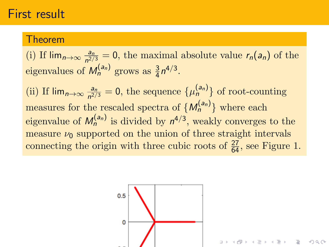## First result

#### Theorem

(i) If  $\lim_{n\to\infty} \frac{a_n}{n^{2/3}}$  $\frac{a_n}{n^{2/3}} = 0$ , the maximal absolute value  $r_n(a_n)$  of the eigenvalues of  $M_n^{(a_n)}$  grows as  $\frac{3}{4}n^{4/3}$ .

(ii) If  $\lim_{n\to\infty} \frac{a_n}{n^{2/3}}$  $\frac{a_n}{n^{2/3}} = 0$ , the sequence  $\{\mu_n^{(a_n)}\}$  of root-counting measures for the rescaled spectra of  $\{M_n^{(a_n)}\}$  where each eigenvalue of  $M_n^{(a_n)}$  is divided by  $n^{4/3}$ , weakly converges to the measure  $\nu_0$  supported on the union of three straight intervals connecting the origin with three cubic roots of  $\frac{27}{64}$ , see Figure [1.](#page-7-0)

<span id="page-7-0"></span>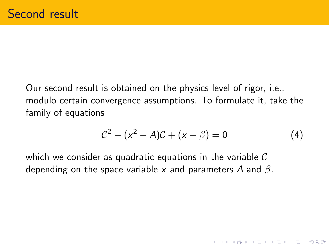Our second result is obtained on the physics level of rigor, i.e., modulo certain convergence assumptions. To formulate it, take the family of equations

<span id="page-8-0"></span>
$$
C^{2} - (x^{2} - A)C + (x - \beta) = 0
$$
 (4)

K ロ ▶ K @ ▶ K 할 ▶ K 할 ▶ | 할 | © 9 Q @

which we consider as quadratic equations in the variable  $\mathcal C$ depending on the space variable x and parameters A and  $\beta$ .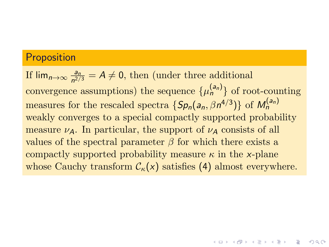#### **Proposition**

<span id="page-9-0"></span>If  $\lim_{n\to\infty} \frac{a_n}{n^2}$  $\frac{a_n}{n^{2/3}} = A \neq 0$ , then (under three additional convergence assumptions) the sequence  $\{\mu_n^{(a_n)}\}$  of root-counting measures for the rescaled spectra  $\{Sp_n(a_n, \beta n^{4/3})\}$  of  $M_n^{(a_n)}$ weakly converges to a special compactly supported probability measure  $\nu_A$ . In particular, the support of  $\nu_A$  consists of all values of the spectral parameter  $\beta$  for which there exists a compactly supported probability measure  $\kappa$  in the x-plane whose Cauchy transform  $\mathcal{C}_{\kappa}(\mathsf{x})$  satisfies [\(4\)](#page-8-0) almost everywhere.

**KORKAR KERKER SAGA**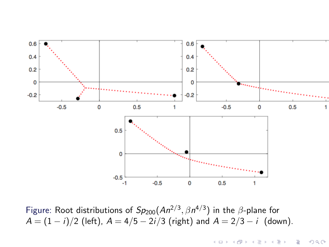

<span id="page-10-0"></span>Figure: Root distributions of  $Sp_{200}(An^{2/3},\beta n^{4/3})$  in the  $\beta$ -plane for  $A = (1 - i)/2$  (left),  $A = 4/5 - 2i/3$  (right) and  $A = 2/3 - i$  (down).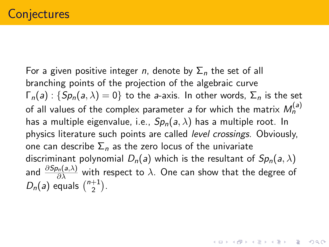For a given positive integer *n*, denote by  $\Sigma_n$  the set of all branching points of the projection of the algebraic curve  $\Gamma_n(a)$ :  $\{Sp_n(a, \lambda) = 0\}$  to the a-axis. In other words,  $\Sigma_n$  is the set of all values of the complex parameter *a* for which the matrix  $M_n^{(a)}$ has a multiple eigenvalue, i.e.,  $Sp_n(a, \lambda)$  has a multiple root. In physics literature such points are called *level crossings*. Obviously, one can describe  $\Sigma_n$  as the zero locus of the univariate discriminant polynomial  $D_n(a)$  which is the resultant of  $Sp_n(a, \lambda)$ and  $\frac{\partial Sp_n(a,\lambda)}{\partial \lambda}$  with respect to  $\lambda$ . One can show that the degree of  $D_n(a)$  equals  $\binom{n+1}{2}$  $\binom{+1}{2}$ .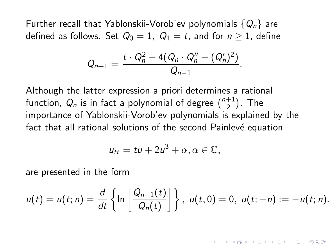Further recall that Yablonskii-Vorob'ev polynomials  $\{Q_n\}$  are defined as follows. Set  $Q_0 = 1$ ,  $Q_1 = t$ , and for  $n \ge 1$ , define

$$
Q_{n+1}=\frac{t\cdot Q_n^2-4(Q_n\cdot Q_n''-(Q_n')^2)}{Q_{n-1}}.
$$

Although the latter expression a priori determines a rational function,  $Q_n$  is in fact a polynomial of degree  $\binom{n+1}{2}$  $\binom{+1}{2}$ . The importance of Yablonskii-Vorob'ev polynomials is explained by the fact that all rational solutions of the second Painlevé equation

$$
u_{tt} = tu + 2u^3 + \alpha, \alpha \in \mathbb{C},
$$

are presented in the form

$$
u(t) = u(t; n) = \frac{d}{dt} \left\{ \ln \left[ \frac{Q_{n-1}(t)}{Q_n(t)} \right] \right\}, \ u(t, 0) = 0, \ u(t; -n) := -u(t; n).
$$

**KORKAR KERKER SAGA**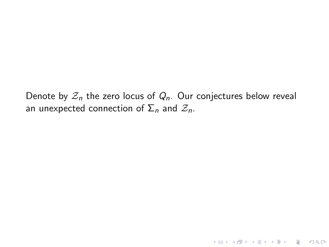Denote by  $\mathcal{Z}_n$  the zero locus of  $Q_n$ . Our conjectures below reveal an unexpected connection of  $\Sigma_n$  and  $\mathcal{Z}_n$ .

KID KAR KE KIEK E KORO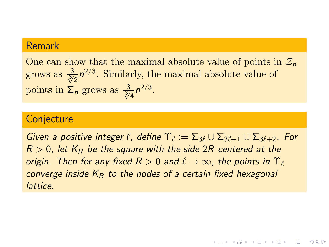#### Remark

One can show that the maximal absolute value of points in  $\mathcal{Z}_n$ grows as  $\frac{3}{\sqrt[3]{2}}n^{2/3}$ . Similarly, the maximal absolute value of points in  $\Sigma_n$  grows as  $\frac{3}{\sqrt[3]{4}}n^{2/3}$ .

#### **Conjecture**

Given a positive integer  $\ell$ , define  $\Upsilon_\ell := \Sigma_{3\ell} \cup \Sigma_{3\ell+1} \cup \Sigma_{3\ell+2}$ . For  $R > 0$ , let  $K_R$  be the square with the side 2R centered at the origin. Then for any fixed  $R > 0$  and  $\ell \to \infty$ , the points in  $\Upsilon_{\ell}$ converge inside  $K_R$  to the nodes of a certain fixed hexagonal lattice.

**KORKARA REPASA DA VOCA**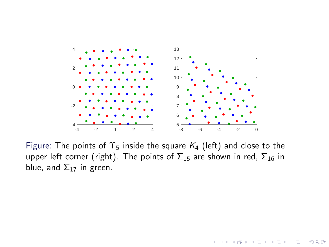

Figure: The points of  $\Upsilon_5$  inside the square  $K_4$  (left) and close to the upper left corner (right). The points of  $\Sigma_{15}$  are shown in red,  $\Sigma_{16}$  in blue, and  $\Sigma_{17}$  in green.

イロト イ押ト イヨト イヨト

 $\equiv$ 

 $2Q$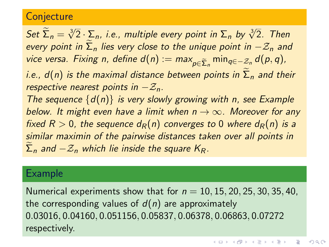#### **Conjecture**

 $Set \sum_{n}$  =  $\sqrt[3]{2} \cdot \sum_{n}$ , i.e., multiple every point in  $\sum_{n}$  by  $\sqrt[3]{2}$ . Then every point in  $\Sigma_n$  lies very close to the unique point in  $-\mathcal{Z}_n$  and vice versa. Fixing n, define  $d(n) := \max_{p \in \widetilde{\Sigma}_n} \min_{q \in -\mathcal{Z}_n} d(p,q)$ , i.e.,  $d(n)$  is the maximal distance between points in  $\Sigma_n$  and their respective nearest points in  $-\mathcal{Z}_n$ . The sequence  $\{d(n)\}\;$  is very slowly growing with n, see Example

below. It might even have a limit when  $n \to \infty$ . Moreover for any fixed  $R > 0$ , the sequence  $d_R(n)$  converges to 0 where  $d_R(n)$  is a similar maximin of the pairwise distances taken over all points in  $\Sigma_n$  and  $-\mathcal{Z}_n$  which lie inside the square  $K_R$ .

#### Example

Numerical experiments show that for  $n = 10, 15, 20, 25, 30, 35, 40$ , the corresponding values of  $d(n)$  are approximately 0.03016, 0.04160, 0.051156, 0.05837, 0.06378, 0.06863, 0.07272 respectively.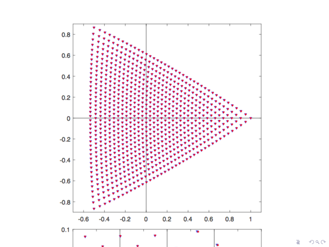

<span id="page-17-0"></span>È.  $2Q$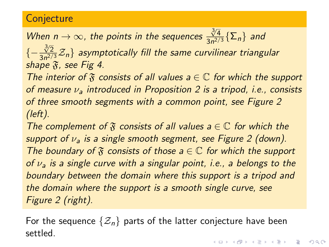### **Conjecture**

#### When  $n \to \infty$ , the points in the sequences  $\sqrt[3]{4}$  $\frac{\sqrt{4}}{3n^{2/3}}\{\Sigma_n\}$  and

{−  $\sqrt[3]{2}$  $\frac{\sqrt{2}}{3n^{2/3}}\mathcal{Z}_n$ } asymptotically fill the same curvilinear triangular shape  $\mathfrak{F}$ , see Fig [4.](#page-17-0)

The interior of  $\mathfrak F$  consists of all values  $a \in \mathbb C$  for which the support of measure  $\nu_a$  introduced in Proposition [2](#page-9-0) is a tripod, i.e., consists of three smooth segments with a common point, see Figure [2](#page-10-0) (left).

The complement of  $\mathfrak F$  consists of all values  $a \in \mathbb C$  for which the support of  $\nu_a$  is a single smooth segment, see Figure [2](#page-10-0) (down). The boundary of  $\mathfrak{F}$  consists of those  $a \in \mathbb{C}$  for which the support of  $\nu_a$  is a single curve with a singular point, i.e., a belongs to the boundary between the domain where this support is a tripod and the domain where the support is a smooth single curve, see Figure [2](#page-10-0) (right).

For the sequence  $\{\mathcal{Z}_n\}$  parts of the latter conjecture have been settled. $4 \Box + 4 \Box + 4 \Xi + 4 \Xi + 4 \Xi$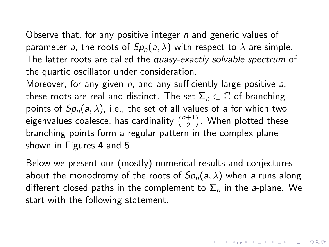<span id="page-19-0"></span>Observe that, for any positive integer n and generic values of parameter a, the roots of  $Sp_n(a, \lambda)$  with respect to  $\lambda$  are simple. The latter roots are called the quasy-exactly solvable spectrum of the quartic oscillator under consideration.

Moreover, for any given  $n$ , and any sufficiently large positive  $a$ , these roots are real and distinct. The set  $\Sigma_n \subset \mathbb{C}$  of branching points of  $Sp_n(a, \lambda)$ , i.e., the set of all values of a for which two eigenvalues coalesce, has cardinality  $\binom{n+1}{2}$  $\binom{+1}{2}$ . When plotted these branching points form a regular pattern in the complex plane shown in Figures [4](#page-17-0) and [5.](#page-20-0)

Below we present our (mostly) numerical results and conjectures about the monodromy of the roots of  $Sp_n(a, \lambda)$  when a runs along different closed paths in the complement to  $\Sigma_n$  in the a-plane. We start with the following statement.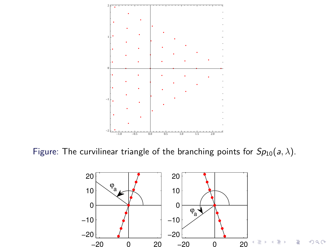<span id="page-20-1"></span>

<span id="page-20-0"></span>Figure: The curvilinear triangle of the branching points for  $Sp_{10}(a, \lambda)$ .

<span id="page-20-2"></span>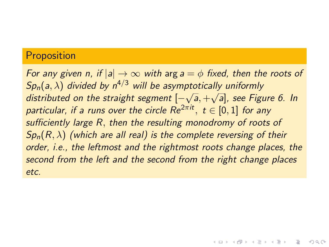#### <span id="page-21-0"></span>**Proposition**

For any given n, if  $|a| \to \infty$  with arg  $a = \phi$  fixed, then the roots of  $Sp_n(a, \lambda)$  divided by  $n^{4/3}$  will be asymptotically uniformly  $\frac{\partial \rho_n(a, \lambda)}{\partial n}$  alwaed by  $n =$  will be asympted on the straight segment  $[-\sqrt{2}]$  $\overline{\mathsf{a}}, +$ √ a], see Figure [6.](#page-20-2) In particular, if a runs over the circle  $Re^{2\pi it},\;t\in[0,1]$  for any sufficiently large R, then the resulting monodromy of roots of  $Sp_n(R, \lambda)$  (which are all real) is the complete reversing of their order, i.e., the leftmost and the rightmost roots change places, the second from the left and the second from the right change places etc.

 $\mathbf{E} = \mathbf{A} \oplus \mathbf{B} + \mathbf{A} \oplus \mathbf{B} + \mathbf{A} \oplus \mathbf{B} + \mathbf{A} \oplus \mathbf{B} + \mathbf{A} \oplus \mathbf{A}$ 

 $QQQ$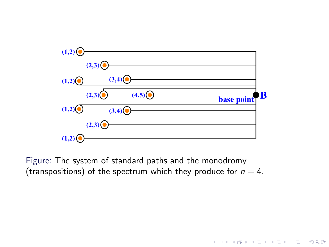

**YO A REPART AND A REPAIR** 

<span id="page-22-0"></span>Figure: The system of standard paths and the monodromy (transpositions) of the spectrum which they produce for  $n = 4$ .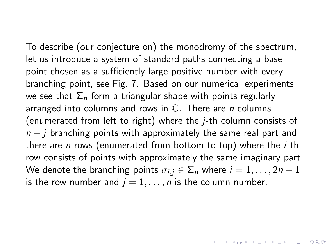To describe (our conjecture on) the monodromy of the spectrum, let us introduce a system of standard paths connecting a base point chosen as a sufficiently large positive number with every branching point, see Fig. [7.](#page-22-0) Based on our numerical experiments, we see that  $\Sigma_n$  form a triangular shape with points regularly arranged into columns and rows in  $\mathbb C$ . There are *n* columns (enumerated from left to right) where the  $j$ -th column consists of  $n - i$  branching points with approximately the same real part and there are n rows (enumerated from bottom to top) where the  $i$ -th row consists of points with approximately the same imaginary part. We denote the branching points  $\sigma_{i,j} \in \Sigma_n$  where  $i = 1, \ldots, 2n - 1$ is the row number and  $j = 1, \ldots, n$  is the column number.

 $4 \Box + 4 \Box + 4 \Xi + 4 \Xi + 4 \Xi$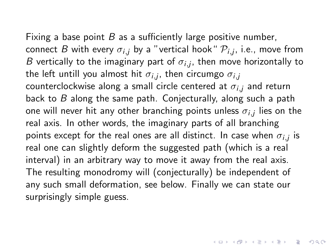Fixing a base point  $B$  as a sufficiently large positive number, connect  $B$  with every  $\sigma_{i,j}$  by a "vertical hook"  $\mathcal{P}_{i,j},$  i.e., move from B vertically to the imaginary part of  $\sigma_{i,j}$ , then move horizontally to the left untill you almost hit  $\sigma_{i,j}$ , then circumgo  $\sigma_{i,j}$ counterclockwise along a small circle centered at  $\sigma_{i,j}$  and return back to B along the same path. Conjecturally, along such a path one will never hit any other branching points unless  $\sigma_{i,j}$  lies on the real axis. In other words, the imaginary parts of all branching points except for the real ones are all distinct. In case when  $\sigma_{i,j}$  is real one can slightly deform the suggested path (which is a real interval) in an arbitrary way to move it away from the real axis. The resulting monodromy will (conjecturally) be independent of any such small deformation, see below. Finally we can state our surprisingly simple guess.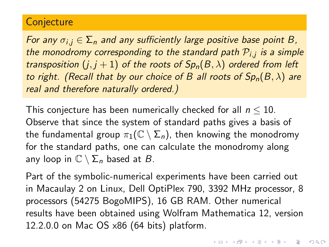#### **Conjecture**

For any  $\sigma_{i,j} \in \Sigma_n$  and any sufficiently large positive base point B, the monodromy corresponding to the standard path  $\mathcal{P}_{i,j}$  is a simple transposition  $(i, j + 1)$  of the roots of  $Sp_n(B, \lambda)$  ordered from left to right. (Recall that by our choice of B all roots of  $Sp_n(B, \lambda)$  are real and therefore naturally ordered.)

This conjecture has been numerically checked for all  $n \leq 10$ . Observe that since the system of standard paths gives a basis of the fundamental group  $\pi_1(\mathbb{C} \setminus \Sigma_n)$ , then knowing the monodromy for the standard paths, one can calculate the monodromy along any loop in  $\mathbb{C} \setminus \Sigma_n$  based at B.

Part of the symbolic-numerical experiments have been carried out in Macaulay 2 on Linux, Dell OptiPlex 790, 3392 MHz processor, 8 processors (54275 BogoMIPS), 16 GB RAM. Other numerical results have been obtained using Wolfram Mathematica 12, version 12.2.0.0 on Mac OS x86 (64 bits) platform.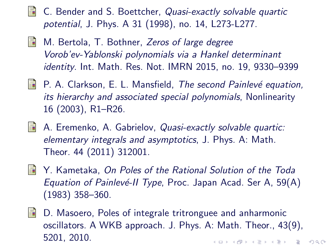- C. Bender and S. Boettcher, Quasi-exactly solvable quartic potential, J. Phys. A 31 (1998), no. 14, L273-L277.
- M. Bertola, T. Bothner, Zeros of large degree 量 Vorob'ev-Yablonski polynomials via a Hankel determinant identity. Int. Math. Res. Not. IMRN 2015, no. 19, 9330–9399
- $\blacksquare$  P. A. Clarkson, E. L. Mansfield, The second Painlevé equation, its hierarchy and associated special polynomials, Nonlinearity 16 (2003), R1–R26.
- 譶 A. Eremenko, A. Gabrielov, Quasi-exactly solvable quartic: elementary integrals and asymptotics, J. Phys. A: Math. Theor. 44 (2011) 312001.
- **No.** Y. Kametaka, On Poles of the Rational Solution of the Toda Equation of Painlevé-II Type, Proc. Japan Acad. Ser A,  $59(A)$ (1983) 358–360.
- 譶 D. Masoero, Poles of integrale tritronguee and anharmonic oscillators. A WKB approach. J. Phys. A: Math. Theor., 43(9), 5201, 2010.**KORKARA REPASA DA VOCA**